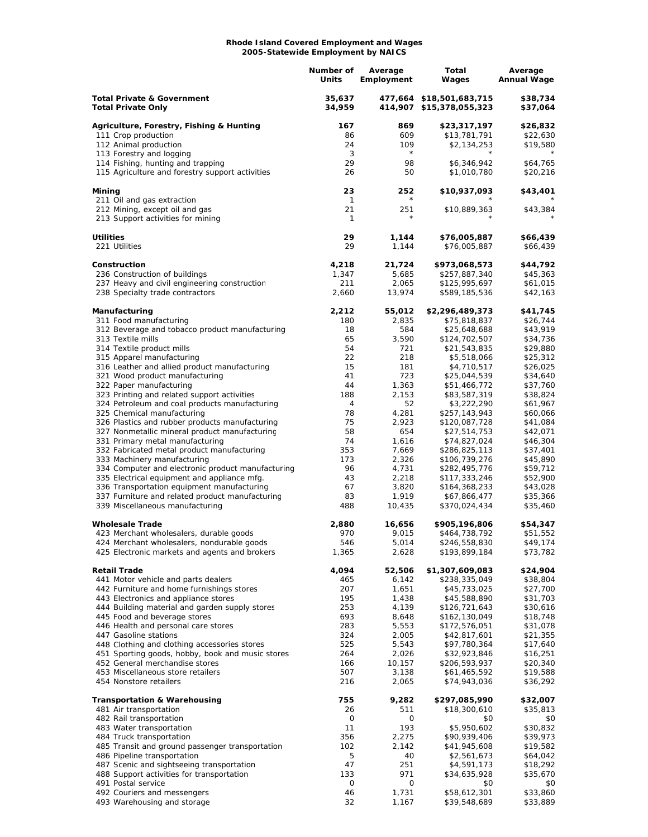## **Rhode Island Covered Employment and Wages 2005-Statewide Employment by NAICS**

|                                                                                                  | Number of<br>Units | Average<br>Employment | Total<br>Wages                                       | Average<br><b>Annual Wage</b> |
|--------------------------------------------------------------------------------------------------|--------------------|-----------------------|------------------------------------------------------|-------------------------------|
| <b>Total Private &amp; Government</b><br><b>Total Private Only</b>                               | 35,637<br>34,959   |                       | 477,664 \$18,501,683,715<br>414,907 \$15,378,055,323 | \$38,734<br>\$37,064          |
| Agriculture, Forestry, Fishing & Hunting                                                         | 167                | 869                   | \$23,317,197                                         | \$26,832                      |
| 111 Crop production                                                                              | 86                 | 609                   | \$13,781,791                                         | \$22,630                      |
| 112 Animal production                                                                            | 24                 | 109                   | \$2,134,253                                          | \$19,580                      |
| 113 Forestry and logging                                                                         | 3                  | $\star$               |                                                      |                               |
| 114 Fishing, hunting and trapping<br>115 Agriculture and forestry support activities             | 29<br>26           | 98<br>50              | \$6,346,942<br>\$1,010,780                           | \$64,765<br>\$20,216          |
| Mining                                                                                           | 23                 | 252                   | \$10,937,093                                         | \$43,401                      |
| 211 Oil and gas extraction                                                                       | 1                  |                       |                                                      |                               |
| 212 Mining, except oil and gas<br>213 Support activities for mining                              | 21<br>1            | 251<br>$\star$        | \$10,889,363                                         | \$43,384                      |
| <b>Utilities</b>                                                                                 | 29                 | 1,144                 | \$76,005,887                                         | \$66,439                      |
| 221 Utilities                                                                                    | 29                 | 1,144                 | \$76,005,887                                         | \$66,439                      |
| Construction                                                                                     | 4,218              | 21,724                | \$973,068,573                                        | \$44,792                      |
| 236 Construction of buildings                                                                    | 1,347              | 5,685                 | \$257,887,340                                        | \$45,363                      |
| 237 Heavy and civil engineering construction<br>238 Specialty trade contractors                  | 211<br>2,660       | 2,065<br>13,974       | \$125,995,697<br>\$589,185,536                       | \$61,015<br>\$42,163          |
| Manufacturing                                                                                    | 2,212              | 55,012                | \$2,296,489,373                                      | \$41,745                      |
| 311 Food manufacturing                                                                           | 180                | 2,835                 | \$75,818,837                                         | \$26,744                      |
| 312 Beverage and tobacco product manufacturing                                                   | 18                 | 584                   | \$25,648,688                                         | \$43,919                      |
| 313 Textile mills                                                                                | 65                 | 3,590                 | \$124,702,507                                        | \$34,736                      |
| 314 Textile product mills                                                                        | 54                 | 721                   | \$21,543,835                                         | \$29,880                      |
| 315 Apparel manufacturing<br>316 Leather and allied product manufacturing                        | 22<br>15           | 218<br>181            | \$5,518,066<br>\$4,710,517                           | \$25,312<br>\$26,025          |
| 321 Wood product manufacturing                                                                   | 41                 | 723                   | \$25,044,539                                         | \$34,640                      |
| 322 Paper manufacturing                                                                          | 44                 | 1,363                 | \$51,466,772                                         | \$37,760                      |
| 323 Printing and related support activities                                                      | 188                | 2,153                 | \$83,587,319                                         | \$38,824                      |
| 324 Petroleum and coal products manufacturing                                                    | 4                  | 52                    | \$3,222,290                                          | \$61,967                      |
| 325 Chemical manufacturing<br>326 Plastics and rubber products manufacturing                     | 78<br>75           | 4,281<br>2,923        | \$257,143,943<br>\$120,087,728                       | \$60,066<br>\$41,084          |
| 327 Nonmetallic mineral product manufacturing                                                    | 58                 | 654                   | \$27,514,753                                         | \$42,071                      |
| 331 Primary metal manufacturing                                                                  | 74                 | 1,616                 | \$74,827,024                                         | \$46,304                      |
| 332 Fabricated metal product manufacturing                                                       | 353                | 7,669                 | \$286,825,113                                        | \$37,401                      |
| 333 Machinery manufacturing                                                                      | 173                | 2,326                 | \$106,739,276                                        | \$45,890                      |
| 334 Computer and electronic product manufacturing<br>335 Electrical equipment and appliance mfg. | 96<br>43           | 4,731<br>2,218        | \$282,495,776<br>\$117,333,246                       | \$59,712<br>\$52,900          |
| 336 Transportation equipment manufacturing                                                       | 67                 | 3,820                 | \$164,368,233                                        | \$43,028                      |
| 337 Furniture and related product manufacturing                                                  | 83                 | 1,919                 | \$67,866,477                                         | \$35,366                      |
| 339 Miscellaneous manufacturing                                                                  | 488                | 10,435                | \$370,024,434                                        | \$35,460                      |
| <b>Wholesale Trade</b>                                                                           | 2,880              | 16,656                | \$905,196,806                                        | \$54,347                      |
| 423 Merchant wholesalers, durable goods<br>424 Merchant wholesalers, nondurable goods            | 970<br>546         | 9,015<br>5,014        | \$464,738,792<br>\$246,558,830                       | \$51,552<br>\$49,174          |
| 425 Electronic markets and agents and brokers                                                    | 1,365              | 2,628                 | \$193,899,184                                        | \$73,782                      |
| <b>Retail Trade</b>                                                                              | 4,094              | 52,506                | \$1,307,609,083                                      | \$24,904                      |
| 441 Motor vehicle and parts dealers                                                              | 465                | 6,142                 | \$238,335,049                                        | \$38,804                      |
| 442 Furniture and home furnishings stores<br>443 Electronics and appliance stores                | 207<br>195         | 1,651<br>1,438        | \$45,733,025<br>\$45,588,890                         | \$27,700<br>\$31,703          |
| 444 Building material and garden supply stores                                                   | 253                | 4,139                 | \$126,721,643                                        | \$30,616                      |
| 445 Food and beverage stores                                                                     | 693                | 8,648                 | \$162,130,049                                        | \$18,748                      |
| 446 Health and personal care stores                                                              | 283                | 5,553                 | \$172,576,051                                        | \$31,078                      |
| 447 Gasoline stations                                                                            | 324                | 2,005                 | \$42,817,601                                         | \$21,355                      |
| 448 Clothing and clothing accessories stores<br>451 Sporting goods, hobby, book and music stores | 525<br>264         | 5,543<br>2,026        | \$97,780,364<br>\$32,923,846                         | \$17,640<br>\$16,251          |
| 452 General merchandise stores                                                                   | 166                | 10,157                | \$206,593,937                                        | \$20,340                      |
| 453 Miscellaneous store retailers                                                                | 507                | 3,138                 | \$61,465,592                                         | \$19,588                      |
| 454 Nonstore retailers                                                                           | 216                | 2,065                 | \$74,943,036                                         | \$36,292                      |
| <b>Transportation &amp; Warehousing</b>                                                          | 755                | 9,282                 | \$297,085,990                                        | \$32,007                      |
| 481 Air transportation<br>482 Rail transportation                                                | 26<br>0            | 511<br>0              | \$18,300,610<br>\$0                                  | \$35,813<br>\$0               |
| 483 Water transportation                                                                         | 11                 | 193                   | \$5,950,602                                          | \$30,832                      |
| 484 Truck transportation                                                                         | 356                | 2,275                 | \$90,939,406                                         | \$39,973                      |
| 485 Transit and ground passenger transportation                                                  | 102                | 2,142                 | \$41,945,608                                         | \$19,582                      |
| 486 Pipeline transportation                                                                      | 5                  | 40                    | \$2,561,673                                          | \$64,042                      |
| 487 Scenic and sightseeing transportation                                                        | 47                 | 251                   | \$4,591,173                                          | \$18,292                      |
| 488 Support activities for transportation<br>491 Postal service                                  | 133<br>0           | 971<br>0              | \$34,635,928<br>\$0                                  | \$35,670<br>\$0               |
| 492 Couriers and messengers                                                                      | 46                 | 1,731                 | \$58,612,301                                         | \$33,860                      |
| 493 Warehousing and storage                                                                      | 32                 | 1,167                 | \$39,548,689                                         | \$33,889                      |